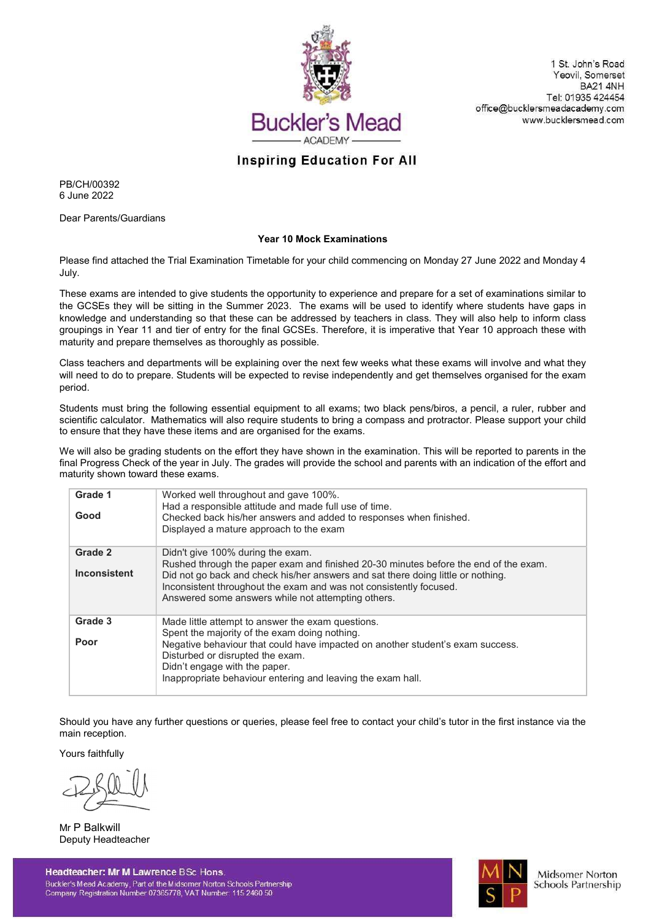

1 St. John's Road Yeovil, Somerset **BA21 4NH** Tel: 01935 424454 office@bucklersmeadacademy.com www.bucklersmead.com

## **Inspiring Education For All**

PB/CH/00392 6 June 2022

Dear Parents/Guardians

## Year 10 Mock Examinations

Please find attached the Trial Examination Timetable for your child commencing on Monday 27 June 2022 and Monday 4 July.

These exams are intended to give students the opportunity to experience and prepare for a set of examinations similar to the GCSEs they will be sitting in the Summer 2023. The exams will be used to identify where students have gaps in knowledge and understanding so that these can be addressed by teachers in class. They will also help to inform class groupings in Year 11 and tier of entry for the final GCSEs. Therefore, it is imperative that Year 10 approach these with maturity and prepare themselves as thoroughly as possible.

Class teachers and departments will be explaining over the next few weeks what these exams will involve and what they will need to do to prepare. Students will be expected to revise independently and get themselves organised for the exam period.

Students must bring the following essential equipment to all exams; two black pens/biros, a pencil, a ruler, rubber and scientific calculator. Mathematics will also require students to bring a compass and protractor. Please support your child to ensure that they have these items and are organised for the exams.

We will also be grading students on the effort they have shown in the examination. This will be reported to parents in the final Progress Check of the year in July. The grades will provide the school and parents with an indication of the effort and maturity shown toward these exams.

| Grade 1<br>Good                | Worked well throughout and gave 100%.<br>Had a responsible attitude and made full use of time.<br>Checked back his/her answers and added to responses when finished.<br>Displayed a mature approach to the exam                                                                                                                           |
|--------------------------------|-------------------------------------------------------------------------------------------------------------------------------------------------------------------------------------------------------------------------------------------------------------------------------------------------------------------------------------------|
| Grade 2<br><b>Inconsistent</b> | Didn't give 100% during the exam.<br>Rushed through the paper exam and finished 20-30 minutes before the end of the exam.<br>Did not go back and check his/her answers and sat there doing little or nothing.<br>Inconsistent throughout the exam and was not consistently focused.<br>Answered some answers while not attempting others. |
| Grade 3<br>Poor                | Made little attempt to answer the exam questions.<br>Spent the majority of the exam doing nothing.<br>Negative behaviour that could have impacted on another student's exam success.<br>Disturbed or disrupted the exam.<br>Didn't engage with the paper.<br>Inappropriate behaviour entering and leaving the exam hall.                  |

Should you have any further questions or queries, please feel free to contact your child's tutor in the first instance via the main reception.

Yours faithfully

Mr P Balkwill Deputy Headteacher